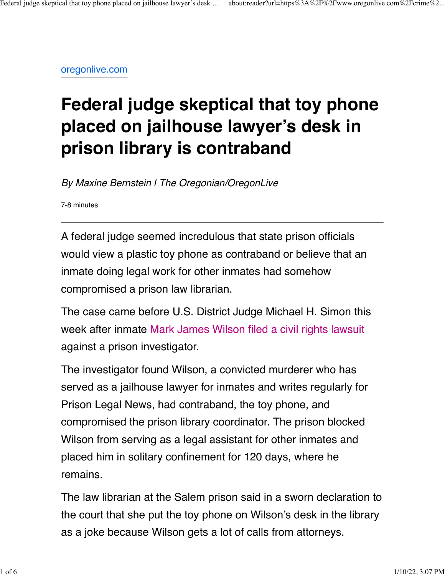[oregonlive.com](https://www.oregonlive.com/crime/2021/12/federal-judge-skeptical-that-toy-phone-placed-on-jailhouse-lawyers-desk-in-library-is-contraband.html)

## **Federal judge skeptical that toy phone placed on jailhouse lawyer's desk in prison library is contraband**

*By Maxine Bernstein | The Oregonian/OregonLive*

7-8 minutes

A federal judge seemed incredulous that state prison officials would view a plastic toy phone as contraband or believe that an inmate doing legal work for other inmates had somehow compromised a prison law librarian.

The case came before U.S. District Judge Michael H. Simon this week after inmate [Mark James Wilson filed a civil rights lawsuit](https://www.oregonlive.com/crime/2021/11/jailhouse-lawyer-put-in-solitary-confinement-for-contraband-toy-phone-placed-on-his-law-library-desk-by-staffer-suit-alleges.html) against a prison investigator.

The investigator found Wilson, a convicted murderer who has served as a jailhouse lawyer for inmates and writes regularly for Prison Legal News, had contraband, the toy phone, and compromised the prison library coordinator. The prison blocked Wilson from serving as a legal assistant for other inmates and placed him in solitary confinement for 120 days, where he remains.

The law librarian at the Salem prison said in a sworn declaration to the court that she put the toy phone on Wilson's desk in the library as a joke because Wilson gets a lot of calls from attorneys.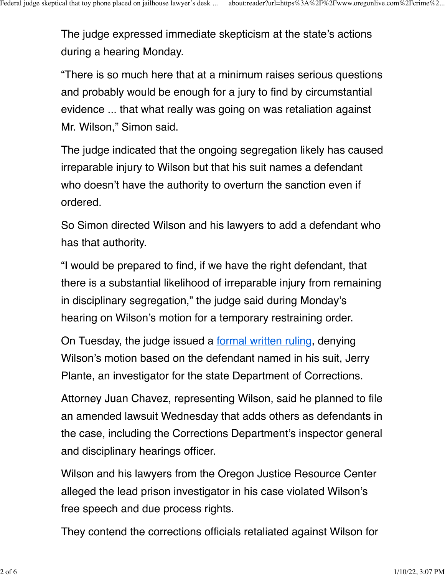The judge expressed immediate skepticism at the state's actions during a hearing Monday.

"There is so much here that at a minimum raises serious questions and probably would be enough for a jury to find by circumstantial evidence ... that what really was going on was retaliation against Mr. Wilson," Simon said.

The judge indicated that the ongoing segregation likely has caused irreparable injury to Wilson but that his suit names a defendant who doesn't have the authority to overturn the sanction even if ordered.

So Simon directed Wilson and his lawyers to add a defendant who has that authority.

"I would be prepared to find, if we have the right defendant, that there is a substantial likelihood of irreparable injury from remaining in disciplinary segregation," the judge said during Monday's hearing on Wilson's motion for a temporary restraining order.

On Tuesday, the judge issued a [formal written ruling](https://www.documentcloud.org/documents/21150270-judgesimonmarkwilsontuesruling), denying Wilson's motion based on the defendant named in his suit, Jerry Plante, an investigator for the state Department of Corrections.

Attorney Juan Chavez, representing Wilson, said he planned to file an amended lawsuit Wednesday that adds others as defendants in the case, including the Corrections Department's inspector general and disciplinary hearings officer.

Wilson and his lawyers from the Oregon Justice Resource Center alleged the lead prison investigator in his case violated Wilson's free speech and due process rights.

They contend the corrections officials retaliated against Wilson for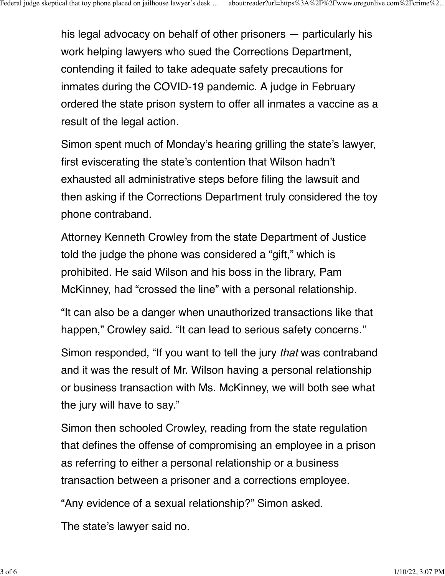his legal advocacy on behalf of other prisoners — particularly his work helping lawyers who sued the Corrections Department, contending it failed to take adequate safety precautions for inmates during the COVID-19 pandemic. A judge in February ordered the state prison system to offer all inmates a vaccine as a result of the legal action.

Simon spent much of Monday's hearing grilling the state's lawyer, first eviscerating the state's contention that Wilson hadn't exhausted all administrative steps before filing the lawsuit and then asking if the Corrections Department truly considered the toy phone contraband.

Attorney Kenneth Crowley from the state Department of Justice told the judge the phone was considered a "gift," which is prohibited. He said Wilson and his boss in the library, Pam McKinney, had "crossed the line" with a personal relationship.

"It can also be a danger when unauthorized transactions like that happen," Crowley said. "It can lead to serious safety concerns.''

Simon responded, "If you want to tell the jury *that* was contraband and it was the result of Mr. Wilson having a personal relationship or business transaction with Ms. McKinney, we will both see what the jury will have to say."

Simon then schooled Crowley, reading from the state regulation that defines the offense of compromising an employee in a prison as referring to either a personal relationship or a business transaction between a prisoner and a corrections employee.

"Any evidence of a sexual relationship?" Simon asked.

The state's lawyer said no.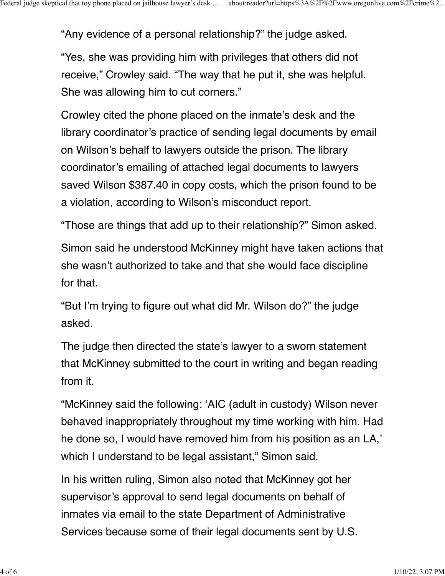"Any evidence of a personal relationship?" the judge asked.

"Yes, she was providing him with privileges that others did not receive," Crowley said. "The way that he put it, she was helpful. She was allowing him to cut corners."

Crowley cited the phone placed on the inmate's desk and the library coordinator's practice of sending legal documents by email on Wilson's behalf to lawyers outside the prison. The library coordinator's emailing of attached legal documents to lawyers saved Wilson \$387.40 in copy costs, which the prison found to be a violation, according to Wilson's misconduct report.

"Those are things that add up to their relationship?" Simon asked.

Simon said he understood McKinney might have taken actions that she wasn't authorized to take and that she would face discipline for that.

"But I'm trying to figure out what did Mr. Wilson do?" the judge asked.

The judge then directed the state's lawyer to a sworn statement that McKinney submitted to the court in writing and began reading from it.

"McKinney said the following: 'AIC (adult in custody) Wilson never behaved inappropriately throughout my time working with him. Had he done so, I would have removed him from his position as an LA,' which I understand to be legal assistant," Simon said.

In his written ruling, Simon also noted that McKinney got her supervisor's approval to send legal documents on behalf of inmates via email to the state Department of Administrative Services because some of their legal documents sent by U.S.